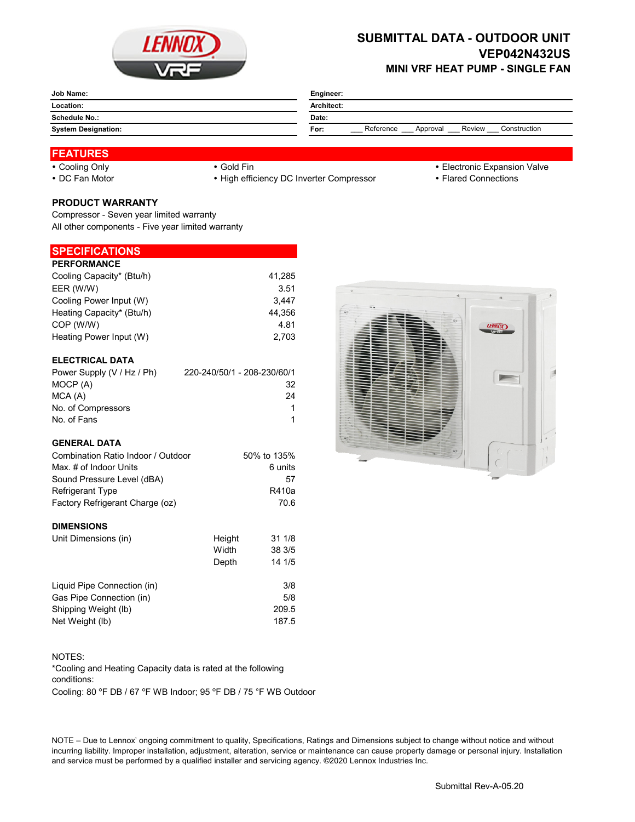

## **SUBMITTAL DATA - OUTDOOR UNIT VEP042N432US MINI VRF HEAT PUMP - SINGLE FAN**

|                            | Engineer:<br>Architect:                                 |  |  |
|----------------------------|---------------------------------------------------------|--|--|
| Location:                  |                                                         |  |  |
| Schedule No.:              | Date:                                                   |  |  |
| <b>System Designation:</b> | Reference<br>Construction<br>Review<br>For:<br>Approval |  |  |

# **FEATURES**

- 
- 

• DC Fan Motor **Example 20 Times 19 CONNOTE:** • High efficiency DC Inverter Compressor **Flared Connections** 

- Cooling Only **Cooling Only Gold Fin Gold Fin Cooling Only Electronic Expansion Valve** 
	-

### **PRODUCT WARRANTY**

Compressor - Seven year limited warranty All other components - Five year limited warranty

### **SPECIFICATIONS**

| <b>PERFORMANCE</b>        |        |
|---------------------------|--------|
| Cooling Capacity* (Btu/h) | 41,285 |
| EER (W/W)                 | 3.51   |
| Cooling Power Input (W)   | 3.447  |
| Heating Capacity* (Btu/h) | 44.356 |
| COP (W/W)                 | 4.81   |
| Heating Power Input (W)   | 2.703  |
|                           |        |

#### **ELECTRICAL DATA**

| Power Supply (V / Hz / Ph) | 220-240/50/1 - 208-230/60/1 |
|----------------------------|-----------------------------|
| MOCP (A)                   | 32                          |
| MCA (A)                    | 24                          |
| No. of Compressors         |                             |
| No. of Fans                |                             |

#### **GENERAL DATA**

| Combination Ratio Indoor / Outdoor | 50% to 135% |  |
|------------------------------------|-------------|--|
| Max. # of Indoor Units             | 6 units     |  |
| Sound Pressure Level (dBA)         | 57          |  |
| <b>Refrigerant Type</b>            | R410a       |  |
| Factory Refrigerant Charge (oz)    | 70.6        |  |
|                                    |             |  |

#### **DIMENSIONS**

| Unit Dimensions (in)        | Height | 311/8  |
|-----------------------------|--------|--------|
|                             | Width  | 38 3/5 |
|                             | Depth  | 14 1/5 |
| Liquid Pipe Connection (in) |        | 3/8    |
| Gas Pipe Connection (in)    |        | 5/8    |
| Shipping Weight (lb)        |        | 209.5  |
| Net Weight (lb)             |        | 187.5  |



#### NOTES:

\*Cooling and Heating Capacity data is rated at the following conditions:

Cooling: 80 °F DB / 67 °F WB Indoor; 95 °F DB / 75 °F WB Outdoor

NOTE – Due to Lennox' ongoing commitment to quality, Specifications, Ratings and Dimensions subject to change without notice and without incurring liability. Improper installation, adjustment, alteration, service or maintenance can cause property damage or personal injury. Installation and service must be performed by a qualified installer and servicing agency. ©2020 Lennox Industries Inc.